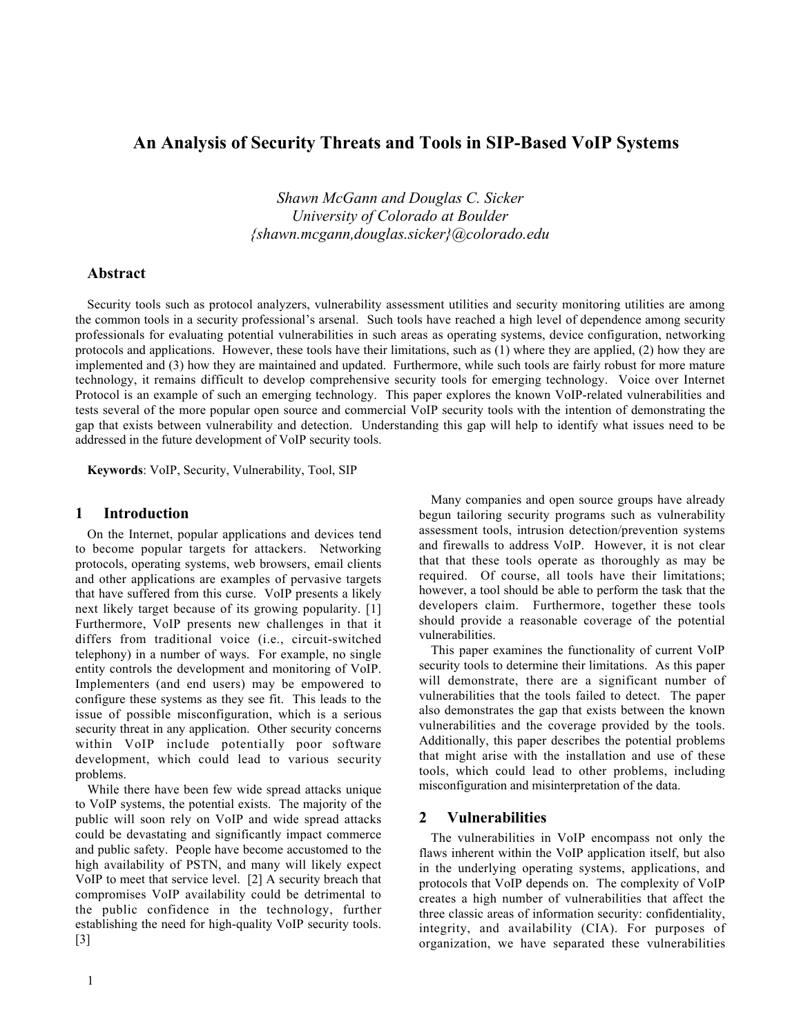# An Analysis of Security Threats and Tools in SIP-Based VoIP Systems

*Shawn McGann and Douglas C. Sicker University of Colorado at Boulder {shawn.mcgann,douglas.sicker}@colorado.edu*

## Abstract

Security tools such as protocol analyzers, vulnerability assessment utilities and security monitoring utilities are among the common tools in a security professional's arsenal. Such tools have reached a high level of dependence among security professionals for evaluating potential vulnerabilities in such areas as operating systems, device configuration, networking protocols and applications. However, these tools have their limitations, such as (1) where they are applied, (2) how they are implemented and (3) how they are maintained and updated. Furthermore, while such tools are fairly robust for more mature technology, it remains difficult to develop comprehensive security tools for emerging technology. Voice over Internet Protocol is an example of such an emerging technology. This paper explores the known VoIP-related vulnerabilities and tests several of the more popular open source and commercial VoIP security tools with the intention of demonstrating the gap that exists between vulnerability and detection. Understanding this gap will help to identify what issues need to be addressed in the future development of VoIP security tools.

Keywords: VoIP, Security, Vulnerability, Tool, SIP

### 1 Introduction

On the Internet, popular applications and devices tend to become popular targets for attackers. Networking protocols, operating systems, web browsers, email clients and other applications are examples of pervasive targets that have suffered from this curse. VoIP presents a likely next likely target because of its growing popularity. [1] Furthermore, VoIP presents new challenges in that it differs from traditional voice (i.e., circuit-switched telephony) in a number of ways. For example, no single entity controls the development and monitoring of VoIP. Implementers (and end users) may be empowered to configure these systems as they see fit. This leads to the issue of possible misconfiguration, which is a serious security threat in any application. Other security concerns within VoIP include potentially poor software development, which could lead to various security problems.

While there have been few wide spread attacks unique to VoIP systems, the potential exists. The majority of the public will soon rely on VoIP and wide spread attacks could be devastating and significantly impact commerce and public safety. People have become accustomed to the high availability of PSTN, and many will likely expect VoIP to meet that service level. [2] A security breach that compromises VoIP availability could be detrimental to the public confidence in the technology, further establishing the need for high-quality VoIP security tools. [3]

Many companies and open source groups have already begun tailoring security programs such as vulnerability assessment tools, intrusion detection/prevention systems and firewalls to address VoIP. However, it is not clear that that these tools operate as thoroughly as may be required. Of course, all tools have their limitations; however, a tool should be able to perform the task that the developers claim. Furthermore, together these tools should provide a reasonable coverage of the potential vulnerabilities.

This paper examines the functionality of current VoIP security tools to determine their limitations. As this paper will demonstrate, there are a significant number of vulnerabilities that the tools failed to detect. The paper also demonstrates the gap that exists between the known vulnerabilities and the coverage provided by the tools. Additionally, this paper describes the potential problems that might arise with the installation and use of these tools, which could lead to other problems, including misconfiguration and misinterpretation of the data.

#### 2 Vulnerabilities

The vulnerabilities in VoIP encompass not only the flaws inherent within the VoIP application itself, but also in the underlying operating systems, applications, and protocols that VoIP depends on. The complexity of VoIP creates a high number of vulnerabilities that affect the three classic areas of information security: confidentiality, integrity, and availability (CIA). For purposes of organization, we have separated these vulnerabilities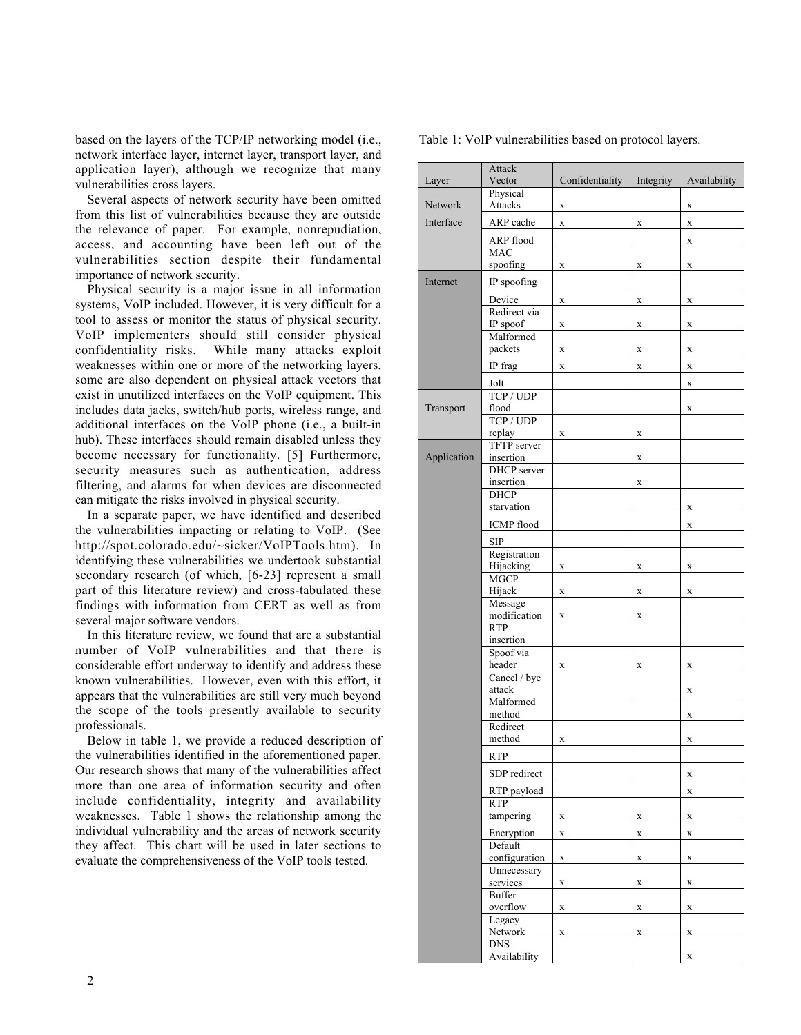based on the layers of the TCP/IP networking model (i.e., network interface layer, internet layer, transport layer, and application layer), although we recognize that many vulnerabilities cross layers.

Several aspects of network security have been omitted from this list of vulnerabilities because they are outside the relevance of paper. For example, nonrepudiation, access, and accounting have been left out of the vulnerabilities section despite their fundamental importance of network security.

Physical security is a major issue in all information systems, VoIP included. However, it is very difficult for a tool to assess or monitor the status of physical security. VoIP implementers should still consider physical confidentiality risks. While many attacks exploit weaknesses within one or more of the networking layers, some are also dependent on physical attack vectors that exist in unutilized interfaces on the VoIP equipment. This includes data jacks, switch/hub ports, wireless range, and additional interfaces on the VoIP phone (i.e., a built-in hub). These interfaces should remain disabled unless they become necessary for functionality. [5] Furthermore, security measures such as authentication, address filtering, and alarms for when devices are disconnected can mitigate the risks involved in physical security.

In a separate paper, we have identified and described the vulnerabilities impacting or relating to VoIP. (See http://spot.colorado.edu/~sicker/VoIPTools.htm). In identifying these vulnerabilities we undertook substantial secondary research (of which, [6-23] represent a small part of this literature review) and cross-tabulated these findings with information from CERT as well as from several major software vendors.

In this literature review, we found that are a substantial number of VoIP vulnerabilities and that there is considerable effort underway to identify and address these known vulnerabilities. However, even with this effort, it appears that the vulnerabilities are still very much beyond the scope of the tools presently available to security professionals.

Below in table 1, we provide a reduced description of the vulnerabilities identified in the aforementioned paper. Our research shows that many of the vulnerabilities affect more than one area of information security and often include confidentiality, integrity and availability weaknesses. Table 1 shows the relationship among the individual vulnerability and the areas of network security they affect. This chart will be used in later sections to evaluate the comprehensiveness of the VoIP tools tested.

Layer Attack Vector Confidentiality Integrity Availability Network Physical Attacks x x x Interface  $ARP$  cache  $x \times x$ ARP flood x MAC spoofing x x x Internet IP spoofing Device  $x \times x$  x  $x \times x$ Redirect via IP spoof  $x$   $\begin{array}{ccc} x & x \\ x & x \end{array}$ Malformed packets x x x IP frag  $x \times x$  x  $x \times x$ Jolt x Transport TCP / UDP flood x TCP / UDP replay x x Application TFTP server insertion x DHCP server insertion x **DHCP** starvation x ICMP flood x SIP Registration Hijacking  $x \times x$  x  $x \times y$ MGCP Hijack  $\mathbf{x}$   $\mathbf{x}$   $\mathbf{x}$ Message modification x x RTP insertion Spoof via header x x Cancel / bye attack x Malformed method x Redirect method x x RTP  $SDP$  redirect  $x$ RTP payload x RTP tampering x x x Encryption  $x$   $\begin{array}{ccc} x & x \\ x & x \end{array}$ Default  $\text{configuration}$  x  $\text{x}$  x  $\text{x}$ Unnecessary services x x Buffer overflow  $x \times x$ Legacy Network  $\begin{array}{ccc} \mathbf{x} & \mathbf{x} \\ \mathbf{x} & \mathbf{x} \end{array}$ DNS

Availability x

Table 1: VoIP vulnerabilities based on protocol layers.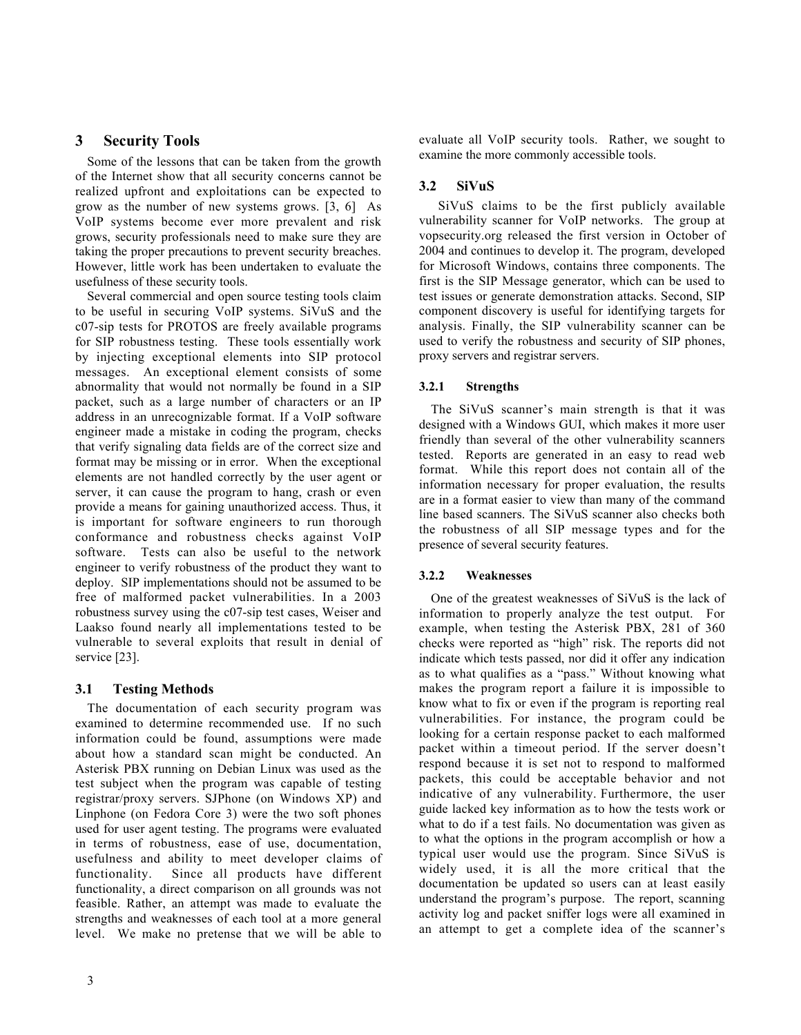# 3 Security Tools

Some of the lessons that can be taken from the growth of the Internet show that all security concerns cannot be realized upfront and exploitations can be expected to grow as the number of new systems grows. [3, 6] As VoIP systems become ever more prevalent and risk grows, security professionals need to make sure they are taking the proper precautions to prevent security breaches. However, little work has been undertaken to evaluate the usefulness of these security tools.

Several commercial and open source testing tools claim to be useful in securing VoIP systems. SiVuS and the c07-sip tests for PROTOS are freely available programs for SIP robustness testing. These tools essentially work by injecting exceptional elements into SIP protocol messages. An exceptional element consists of some abnormality that would not normally be found in a SIP packet, such as a large number of characters or an IP address in an unrecognizable format. If a VoIP software engineer made a mistake in coding the program, checks that verify signaling data fields are of the correct size and format may be missing or in error. When the exceptional elements are not handled correctly by the user agent or server, it can cause the program to hang, crash or even provide a means for gaining unauthorized access. Thus, it is important for software engineers to run thorough conformance and robustness checks against VoIP software. Tests can also be useful to the network engineer to verify robustness of the product they want to deploy. SIP implementations should not be assumed to be free of malformed packet vulnerabilities. In a 2003 robustness survey using the c07-sip test cases, Weiser and Laakso found nearly all implementations tested to be vulnerable to several exploits that result in denial of service [23].

# 3.1 Testing Methods

The documentation of each security program was examined to determine recommended use. If no such information could be found, assumptions were made about how a standard scan might be conducted. An Asterisk PBX running on Debian Linux was used as the test subject when the program was capable of testing registrar/proxy servers. SJPhone (on Windows XP) and Linphone (on Fedora Core 3) were the two soft phones used for user agent testing. The programs were evaluated in terms of robustness, ease of use, documentation, usefulness and ability to meet developer claims of functionality. Since all products have different functionality, a direct comparison on all grounds was not feasible. Rather, an attempt was made to evaluate the strengths and weaknesses of each tool at a more general level. We make no pretense that we will be able to

evaluate all VoIP security tools. Rather, we sought to examine the more commonly accessible tools.

# 3.2 SiVuS

 SiVuS claims to be the first publicly available vulnerability scanner for VoIP networks. The group at vopsecurity.org released the first version in October of 2004 and continues to develop it. The program, developed for Microsoft Windows, contains three components. The first is the SIP Message generator, which can be used to test issues or generate demonstration attacks. Second, SIP component discovery is useful for identifying targets for analysis. Finally, the SIP vulnerability scanner can be used to verify the robustness and security of SIP phones, proxy servers and registrar servers.

# 3.2.1 Strengths

The SiVuS scanner's main strength is that it was designed with a Windows GUI, which makes it more user friendly than several of the other vulnerability scanners tested. Reports are generated in an easy to read web format. While this report does not contain all of the information necessary for proper evaluation, the results are in a format easier to view than many of the command line based scanners. The SiVuS scanner also checks both the robustness of all SIP message types and for the presence of several security features.

# 3.2.2 Weaknesses

One of the greatest weaknesses of SiVuS is the lack of information to properly analyze the test output. For example, when testing the Asterisk PBX, 281 of 360 checks were reported as "high" risk. The reports did not indicate which tests passed, nor did it offer any indication as to what qualifies as a "pass." Without knowing what makes the program report a failure it is impossible to know what to fix or even if the program is reporting real vulnerabilities. For instance, the program could be looking for a certain response packet to each malformed packet within a timeout period. If the server doesn't respond because it is set not to respond to malformed packets, this could be acceptable behavior and not indicative of any vulnerability. Furthermore, the user guide lacked key information as to how the tests work or what to do if a test fails. No documentation was given as to what the options in the program accomplish or how a typical user would use the program. Since SiVuS is widely used, it is all the more critical that the documentation be updated so users can at least easily understand the program's purpose. The report, scanning activity log and packet sniffer logs were all examined in an attempt to get a complete idea of the scanner's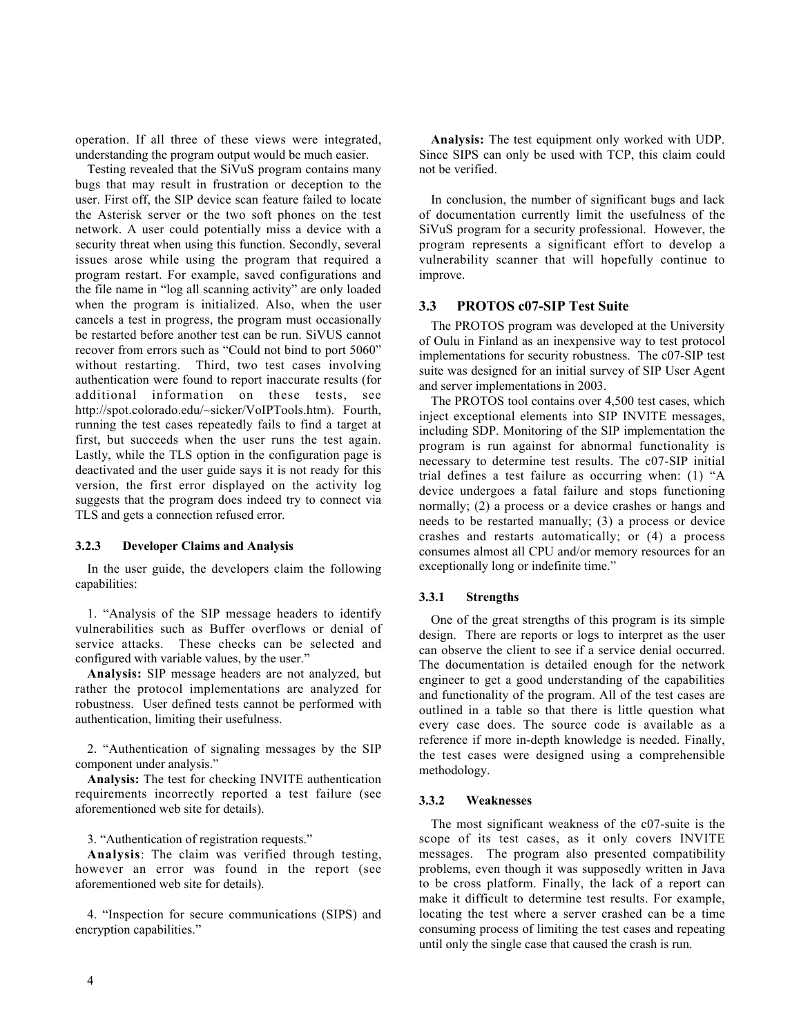operation. If all three of these views were integrated, understanding the program output would be much easier.

Testing revealed that the SiVuS program contains many bugs that may result in frustration or deception to the user. First off, the SIP device scan feature failed to locate the Asterisk server or the two soft phones on the test network. A user could potentially miss a device with a security threat when using this function. Secondly, several issues arose while using the program that required a program restart. For example, saved configurations and the file name in "log all scanning activity" are only loaded when the program is initialized. Also, when the user cancels a test in progress, the program must occasionally be restarted before another test can be run. SiVUS cannot recover from errors such as "Could not bind to port 5060" without restarting. Third, two test cases involving authentication were found to report inaccurate results (for additional information on these tests, see http://spot.colorado.edu/~sicker/VoIPTools.htm). Fourth, running the test cases repeatedly fails to find a target at first, but succeeds when the user runs the test again. Lastly, while the TLS option in the configuration page is deactivated and the user guide says it is not ready for this version, the first error displayed on the activity log suggests that the program does indeed try to connect via TLS and gets a connection refused error.

### 3.2.3 Developer Claims and Analysis

In the user guide, the developers claim the following capabilities:

1. "Analysis of the SIP message headers to identify vulnerabilities such as Buffer overflows or denial of service attacks. These checks can be selected and configured with variable values, by the user."

Analysis: SIP message headers are not analyzed, but rather the protocol implementations are analyzed for robustness. User defined tests cannot be performed with authentication, limiting their usefulness.

2. "Authentication of signaling messages by the SIP component under analysis."

Analysis: The test for checking INVITE authentication requirements incorrectly reported a test failure (see aforementioned web site for details).

3. "Authentication of registration requests."

Analysis: The claim was verified through testing, however an error was found in the report (see aforementioned web site for details).

4. "Inspection for secure communications (SIPS) and encryption capabilities."

Analysis: The test equipment only worked with UDP. Since SIPS can only be used with TCP, this claim could not be verified.

In conclusion, the number of significant bugs and lack of documentation currently limit the usefulness of the SiVuS program for a security professional. However, the program represents a significant effort to develop a vulnerability scanner that will hopefully continue to improve.

#### 3.3 PROTOS c07-SIP Test Suite

The PROTOS program was developed at the University of Oulu in Finland as an inexpensive way to test protocol implementations for security robustness. The c07-SIP test suite was designed for an initial survey of SIP User Agent and server implementations in 2003.

The PROTOS tool contains over 4,500 test cases, which inject exceptional elements into SIP INVITE messages, including SDP. Monitoring of the SIP implementation the program is run against for abnormal functionality is necessary to determine test results. The c07-SIP initial trial defines a test failure as occurring when: (1) "A device undergoes a fatal failure and stops functioning normally; (2) a process or a device crashes or hangs and needs to be restarted manually; (3) a process or device crashes and restarts automatically; or (4) a process consumes almost all CPU and/or memory resources for an exceptionally long or indefinite time."

#### 3.3.1 Strengths

One of the great strengths of this program is its simple design. There are reports or logs to interpret as the user can observe the client to see if a service denial occurred. The documentation is detailed enough for the network engineer to get a good understanding of the capabilities and functionality of the program. All of the test cases are outlined in a table so that there is little question what every case does. The source code is available as a reference if more in-depth knowledge is needed. Finally, the test cases were designed using a comprehensible methodology.

#### 3.3.2 Weaknesses

The most significant weakness of the c07-suite is the scope of its test cases, as it only covers INVITE messages. The program also presented compatibility problems, even though it was supposedly written in Java to be cross platform. Finally, the lack of a report can make it difficult to determine test results. For example, locating the test where a server crashed can be a time consuming process of limiting the test cases and repeating until only the single case that caused the crash is run.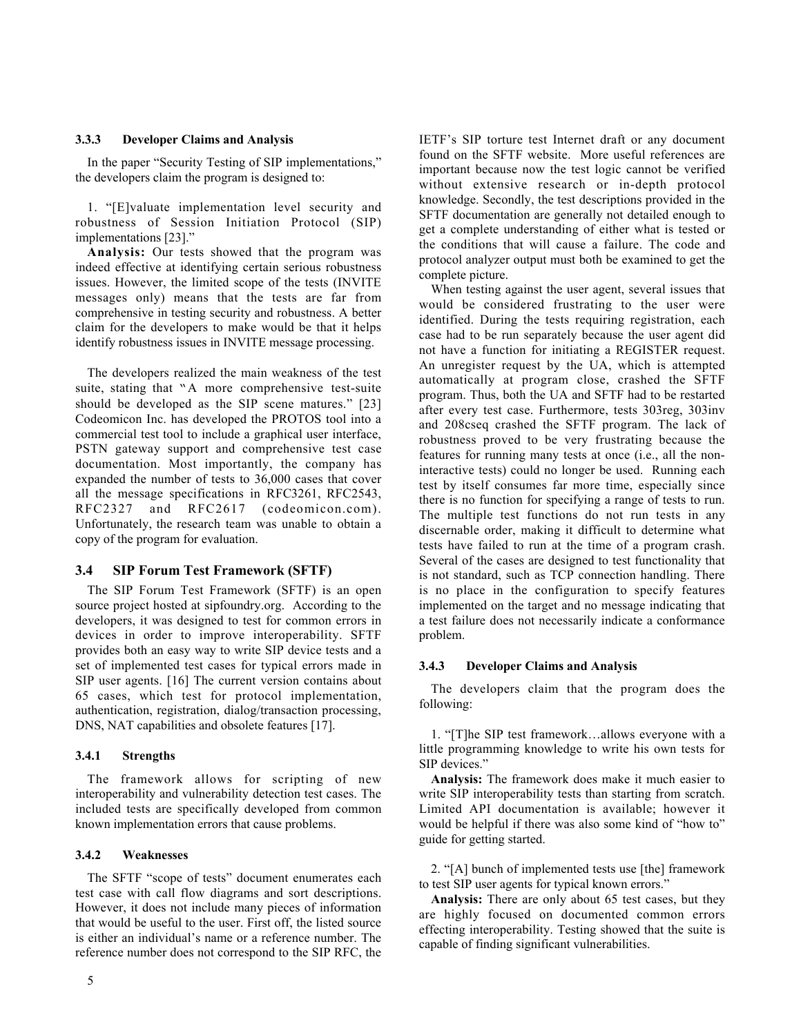#### 3.3.3 Developer Claims and Analysis

In the paper "Security Testing of SIP implementations," the developers claim the program is designed to:

1. "[E]valuate implementation level security and robustness of Session Initiation Protocol (SIP) implementations [23]."

Analysis: Our tests showed that the program was indeed effective at identifying certain serious robustness issues. However, the limited scope of the tests (INVITE messages only) means that the tests are far from comprehensive in testing security and robustness. A better claim for the developers to make would be that it helps identify robustness issues in INVITE message processing.

The developers realized the main weakness of the test suite, stating that "A more comprehensive test-suite should be developed as the SIP scene matures." [23] Codeomicon Inc. has developed the PROTOS tool into a commercial test tool to include a graphical user interface, PSTN gateway support and comprehensive test case documentation. Most importantly, the company has expanded the number of tests to 36,000 cases that cover all the message specifications in RFC3261, RFC2543, RFC2327 and RFC2617 (codeomicon.com). Unfortunately, the research team was unable to obtain a copy of the program for evaluation.

#### 3.4 SIP Forum Test Framework (SFTF)

The SIP Forum Test Framework (SFTF) is an open source project hosted at sipfoundry.org. According to the developers, it was designed to test for common errors in devices in order to improve interoperability. SFTF provides both an easy way to write SIP device tests and a set of implemented test cases for typical errors made in SIP user agents. [16] The current version contains about 65 cases, which test for protocol implementation, authentication, registration, dialog/transaction processing, DNS, NAT capabilities and obsolete features [17].

### 3.4.1 Strengths

The framework allows for scripting of new interoperability and vulnerability detection test cases. The included tests are specifically developed from common known implementation errors that cause problems.

#### 3.4.2 Weaknesses

The SFTF "scope of tests" document enumerates each test case with call flow diagrams and sort descriptions. However, it does not include many pieces of information that would be useful to the user. First off, the listed source is either an individual's name or a reference number. The reference number does not correspond to the SIP RFC, the

IETF's SIP torture test Internet draft or any document found on the SFTF website. More useful references are important because now the test logic cannot be verified without extensive research or in-depth protocol knowledge. Secondly, the test descriptions provided in the SFTF documentation are generally not detailed enough to get a complete understanding of either what is tested or the conditions that will cause a failure. The code and protocol analyzer output must both be examined to get the complete picture.

When testing against the user agent, several issues that would be considered frustrating to the user were identified. During the tests requiring registration, each case had to be run separately because the user agent did not have a function for initiating a REGISTER request. An unregister request by the UA, which is attempted automatically at program close, crashed the SFTF program. Thus, both the UA and SFTF had to be restarted after every test case. Furthermore, tests 303reg, 303inv and 208cseq crashed the SFTF program. The lack of robustness proved to be very frustrating because the features for running many tests at once (i.e., all the noninteractive tests) could no longer be used. Running each test by itself consumes far more time, especially since there is no function for specifying a range of tests to run. The multiple test functions do not run tests in any discernable order, making it difficult to determine what tests have failed to run at the time of a program crash. Several of the cases are designed to test functionality that is not standard, such as TCP connection handling. There is no place in the configuration to specify features implemented on the target and no message indicating that a test failure does not necessarily indicate a conformance problem.

#### 3.4.3 Developer Claims and Analysis

The developers claim that the program does the following:

1. "[T]he SIP test framework…allows everyone with a little programming knowledge to write his own tests for SIP devices."

Analysis: The framework does make it much easier to write SIP interoperability tests than starting from scratch. Limited API documentation is available; however it would be helpful if there was also some kind of "how to" guide for getting started.

2. "[A] bunch of implemented tests use [the] framework to test SIP user agents for typical known errors."

Analysis: There are only about 65 test cases, but they are highly focused on documented common errors effecting interoperability. Testing showed that the suite is capable of finding significant vulnerabilities.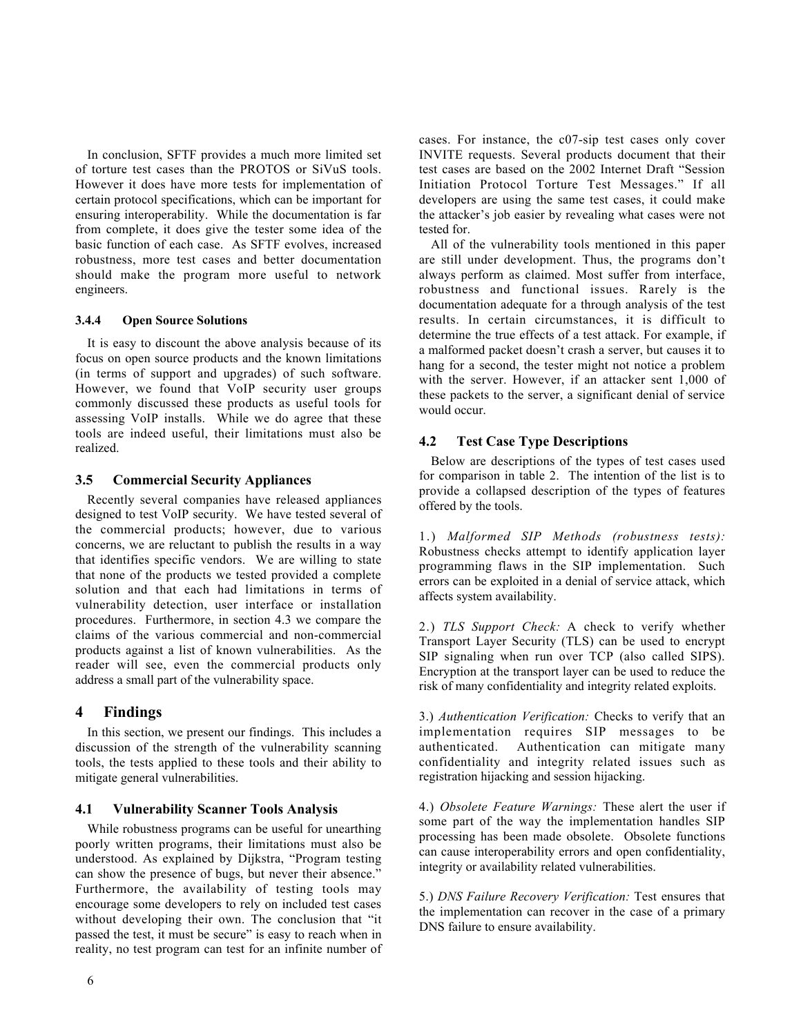In conclusion, SFTF provides a much more limited set of torture test cases than the PROTOS or SiVuS tools. However it does have more tests for implementation of certain protocol specifications, which can be important for ensuring interoperability. While the documentation is far from complete, it does give the tester some idea of the basic function of each case. As SFTF evolves, increased robustness, more test cases and better documentation should make the program more useful to network engineers.

### 3.4.4 Open Source Solutions

It is easy to discount the above analysis because of its focus on open source products and the known limitations (in terms of support and upgrades) of such software. However, we found that VoIP security user groups commonly discussed these products as useful tools for assessing VoIP installs. While we do agree that these tools are indeed useful, their limitations must also be realized.

## 3.5 Commercial Security Appliances

Recently several companies have released appliances designed to test VoIP security. We have tested several of the commercial products; however, due to various concerns, we are reluctant to publish the results in a way that identifies specific vendors. We are willing to state that none of the products we tested provided a complete solution and that each had limitations in terms of vulnerability detection, user interface or installation procedures. Furthermore, in section 4.3 we compare the claims of the various commercial and non-commercial products against a list of known vulnerabilities. As the reader will see, even the commercial products only address a small part of the vulnerability space.

# 4 Findings

In this section, we present our findings. This includes a discussion of the strength of the vulnerability scanning tools, the tests applied to these tools and their ability to mitigate general vulnerabilities.

## 4.1 Vulnerability Scanner Tools Analysis

While robustness programs can be useful for unearthing poorly written programs, their limitations must also be understood. As explained by Dijkstra, "Program testing can show the presence of bugs, but never their absence." Furthermore, the availability of testing tools may encourage some developers to rely on included test cases without developing their own. The conclusion that "it passed the test, it must be secure" is easy to reach when in reality, no test program can test for an infinite number of cases. For instance, the c07-sip test cases only cover INVITE requests. Several products document that their test cases are based on the 2002 Internet Draft "Session Initiation Protocol Torture Test Messages." If all developers are using the same test cases, it could make the attacker's job easier by revealing what cases were not tested for.

All of the vulnerability tools mentioned in this paper are still under development. Thus, the programs don't always perform as claimed. Most suffer from interface, robustness and functional issues. Rarely is the documentation adequate for a through analysis of the test results. In certain circumstances, it is difficult to determine the true effects of a test attack. For example, if a malformed packet doesn't crash a server, but causes it to hang for a second, the tester might not notice a problem with the server. However, if an attacker sent 1,000 of these packets to the server, a significant denial of service would occur.

## 4.2 Test Case Type Descriptions

Below are descriptions of the types of test cases used for comparison in table 2. The intention of the list is to provide a collapsed description of the types of features offered by the tools.

1.) *Malformed SIP Methods (robustness tests):* Robustness checks attempt to identify application layer programming flaws in the SIP implementation. Such errors can be exploited in a denial of service attack, which affects system availability.

2.) *TLS Support Check:* A check to verify whether Transport Layer Security (TLS) can be used to encrypt SIP signaling when run over TCP (also called SIPS). Encryption at the transport layer can be used to reduce the risk of many confidentiality and integrity related exploits.

3.) *Authentication Verification:* Checks to verify that an implementation requires SIP messages to be authenticated. Authentication can mitigate many confidentiality and integrity related issues such as registration hijacking and session hijacking.

4.) *Obsolete Feature Warnings:* These alert the user if some part of the way the implementation handles SIP processing has been made obsolete. Obsolete functions can cause interoperability errors and open confidentiality, integrity or availability related vulnerabilities.

5.) *DNS Failure Recovery Verification:* Test ensures that the implementation can recover in the case of a primary DNS failure to ensure availability.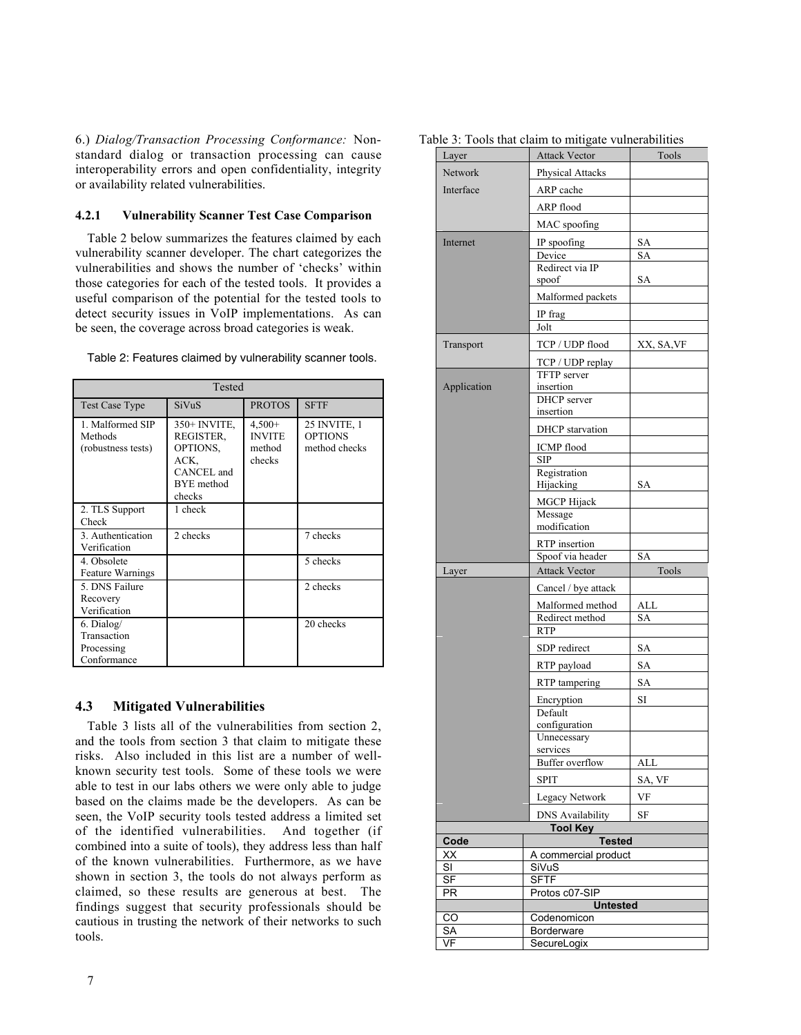6.) *Dialog/Transaction Processing Conformance:* Nonstandard dialog or transaction processing can cause interoperability errors and open confidentiality, integrity or availability related vulnerabilities.

### 4.2.1 Vulnerability Scanner Test Case Comparison

Table 2 below summarizes the features claimed by each vulnerability scanner developer. The chart categorizes the vulnerabilities and shows the number of 'checks' within those categories for each of the tested tools. It provides a useful comparison of the potential for the tested tools to detect security issues in VoIP implementations. As can be seen, the coverage across broad categories is weak.

| Tested                                                 |                                                                                              |                                               |                                                 |
|--------------------------------------------------------|----------------------------------------------------------------------------------------------|-----------------------------------------------|-------------------------------------------------|
| <b>Test Case Type</b>                                  | SiVuS                                                                                        | <b>PROTOS</b>                                 | <b>SFTF</b>                                     |
| 1. Malformed SIP<br>Methods<br>(robustness tests)      | $350+$ INVITE,<br>REGISTER,<br>OPTIONS.<br>ACK.<br>CANCEL and<br><b>BYE</b> method<br>checks | $4,500+$<br><b>INVITE</b><br>method<br>checks | 25 INVITE, 1<br><b>OPTIONS</b><br>method checks |
| 2. TLS Support<br>Check                                | 1 check                                                                                      |                                               |                                                 |
| 3. Authentication<br>Verification                      | 2 checks                                                                                     |                                               | 7 checks                                        |
| 4. Obsolete<br>Feature Warnings                        |                                                                                              |                                               | 5 checks                                        |
| 5. DNS Failure<br>Recovery<br>Verification             |                                                                                              |                                               | 2 checks                                        |
| 6. Dialog/<br>Transaction<br>Processing<br>Conformance |                                                                                              |                                               | 20 checks                                       |

Table 2: Features claimed by vulnerability scanner tools.

## 4.3 Mitigated Vulnerabilities

Table 3 lists all of the vulnerabilities from section 2, and the tools from section 3 that claim to mitigate these risks. Also included in this list are a number of wellknown security test tools. Some of these tools we were able to test in our labs others we were only able to judge based on the claims made be the developers. As can be seen, the VoIP security tools tested address a limited set of the identified vulnerabilities. And together (if combined into a suite of tools), they address less than half of the known vulnerabilities. Furthermore, as we have shown in section 3, the tools do not always perform as claimed, so these results are generous at best. The findings suggest that security professionals should be cautious in trusting the network of their networks to such tools.

| Layer                         | <b>Attack Vector</b>                       | Tools     |
|-------------------------------|--------------------------------------------|-----------|
| Network                       | <b>Physical Attacks</b>                    |           |
| Interface                     | ARP cache                                  |           |
|                               | ARP flood                                  |           |
|                               | MAC spoofing                               |           |
| Internet                      | IP spoofing                                | SA        |
|                               | Device                                     | SA        |
|                               | Redirect via IP<br>spoof                   | SА        |
|                               | Malformed packets                          |           |
|                               | IP frag                                    |           |
|                               | Jolt                                       |           |
| Transport                     | TCP / UDP flood                            | XX, SA,VF |
|                               | TCP / UDP replay                           |           |
|                               | TFTP server                                |           |
| Application                   | insertion                                  |           |
|                               | <b>DHCP</b> server<br>insertion            |           |
|                               | <b>DHCP</b> starvation                     |           |
|                               | <b>ICMP</b> flood                          |           |
|                               | <b>SIP</b>                                 |           |
|                               | Registration                               |           |
|                               | Hijacking                                  | SА        |
|                               | MGCP Hijack<br>Message                     |           |
|                               | modification                               |           |
|                               | RTP insertion                              |           |
|                               | Spoof via header                           | SA        |
|                               |                                            |           |
| Layer                         | <b>Attack Vector</b>                       | Tools     |
|                               | Cancel / bye attack                        |           |
|                               | Malformed method                           | ALL       |
|                               | Redirect method                            | SA        |
|                               | <b>RTP</b>                                 |           |
|                               | SDP redirect                               | SA        |
|                               | RTP payload                                | SA        |
|                               | RTP tampering                              | <b>SA</b> |
|                               | Encryption<br>Default                      | SI        |
|                               | configuration                              |           |
|                               | Unnecessary                                |           |
|                               | services<br><b>Buffer</b> overflow         | ALL       |
|                               | <b>SPIT</b>                                | SA, VF    |
|                               | Legacy Network                             | VF        |
|                               |                                            | SF        |
|                               | <b>DNS Availability</b><br><b>Tool Key</b> |           |
| Code                          | <b>Tested</b>                              |           |
| XX<br>$\overline{\mathsf{S}}$ | A commercial product<br>SiVuS              |           |
| <b>SF</b>                     | <b>SFTF</b>                                |           |
| <b>PR</b>                     | Protos c07-SIP                             |           |
|                               | <b>Untested</b>                            |           |
| CO<br>SА<br>VF                | Codenomicon<br>Borderware<br>SecureLogix   |           |

Table 3: Tools that claim to mitigate vulnerabilities